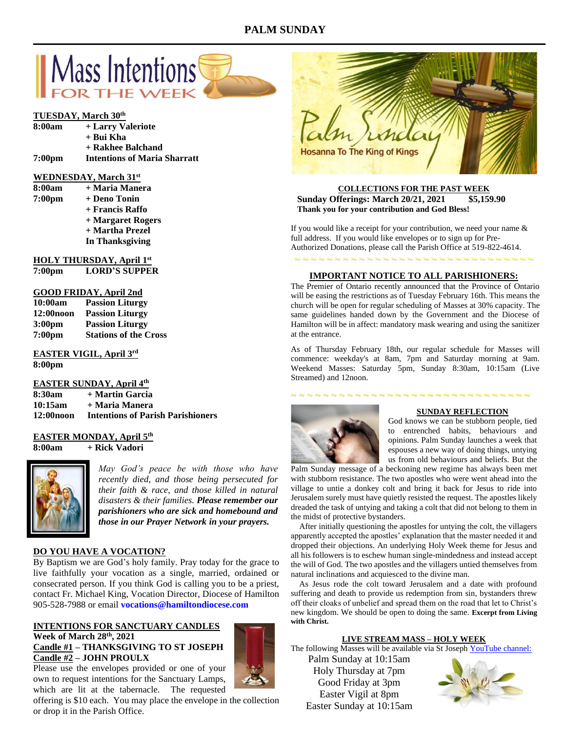# **PALM SUNDAY**



# **TUESDAY, March 30th**

| 8:00am             | + Larry Valeriote                   |
|--------------------|-------------------------------------|
|                    | + Bui Kha                           |
|                    | + Rakhee Balchand                   |
| 7:00 <sub>pm</sub> | <b>Intentions of Maria Sharratt</b> |

# **WEDNESDAY, March 31st**

| 8:00am             | + Maria Manera    |
|--------------------|-------------------|
| 7:00 <sub>pm</sub> | + Deno Tonin      |
|                    | + Francis Raffo   |
|                    | + Margaret Rogers |
|                    | + Martha Prezel   |
|                    | In Thanksgiving   |

# **HOLY THURSDAY, April 1st**

| 7:00 <sub>pm</sub> | <b>LORD'S SUPPER</b> |
|--------------------|----------------------|
|--------------------|----------------------|

# **GOOD FRIDAY, April 2nd**

| 10:00am            | <b>Passion Liturgy</b>       |
|--------------------|------------------------------|
| 12:00 noon         | <b>Passion Liturgy</b>       |
| 3:00 <sub>pm</sub> | <b>Passion Liturgy</b>       |
| 7:00 <sub>pm</sub> | <b>Stations of the Cross</b> |

### **EASTER VIGIL, April 3rd 8:00pm**

# **EASTER SUNDAY, April 4th**

| 8:30am       | + Martin Garcia                          |
|--------------|------------------------------------------|
| 10:15am      | + Maria Manera                           |
| $12:00$ noon | <b>Intentions of Parish Parishioners</b> |

# **EASTER MONDAY, April 5th**

**8:00am + Rick Vadori**



*May God's peace be with those who have recently died, and those being persecuted for their faith & race, and those killed in natural disasters & their families. Please remember our parishioners who are sick and homebound and those in our Prayer Network in your prayers.*

# **DO YOU HAVE A VOCATION?**

By Baptism we are God's holy family. Pray today for the grace to live faithfully your vocation as a single, married, ordained or consecrated person. If you think God is calling you to be a priest, contact Fr. Michael King, Vocation Director, Diocese of Hamilton 905-528-7988 or email **vocations@hamiltondiocese.com** 

# **INTENTIONS FOR SANCTUARY CANDLES Week of March 28 th, 2021 Candle #1 – THANKSGIVING TO ST JOSEPH Candle #2 – JOHN PROULX**

Please use the envelopes provided or one of your own to request intentions for the Sanctuary Lamps, which are lit at the tabernacle. The requested





## **COLLECTIONS FOR THE PAST WEEK Sunday Offerings: March 20/21, 2021 Thank you for your contribution and God Bless!**

If you would like a receipt for your contribution, we need your name  $\&$ full address. If you would like envelopes or to sign up for Pre-Authorized Donations, please call the Parish Office at 519-822-4614.

~ ~ ~ ~ ~ ~ ~ ~ ~ ~ ~ ~ ~ ~ ~ ~ ~ ~ ~ ~ ~ ~ ~ ~ ~ ~ ~ ~ ~ ~

## **IMPORTANT NOTICE TO ALL PARISHIONERS:**

The Premier of Ontario recently announced that the Province of Ontario will be easing the restrictions as of Tuesday February 16th. This means the church will be open for regular scheduling of Masses at 30% capacity. The same guidelines handed down by the Government and the Diocese of Hamilton will be in affect: mandatory mask wearing and using the sanitizer at the entrance.

As of Thursday February 18th, our regular schedule for Masses will commence: weekday's at 8am, 7pm and Saturday morning at 9am. Weekend Masses: Saturday 5pm, Sunday 8:30am, 10:15am (Live Streamed) and 12noon.

~ ~ ~ ~ ~ ~ ~ ~ ~ ~ ~ ~ ~ ~ ~ ~ ~ ~ ~ ~ ~ ~ ~ ~ ~ ~ ~ ~ ~ ~



#### **SUNDAY REFLECTION**

God knows we can be stubborn people, tied to entrenched habits, behaviours and opinions. Palm Sunday launches a week that espouses a new way of doing things, untying us from old behaviours and beliefs. But the

Palm Sunday message of a beckoning new regime has always been met with stubborn resistance. The two apostles who were went ahead into the village to untie a donkey colt and bring it back for Jesus to ride into Jerusalem surely must have quietly resisted the request. The apostles likely dreaded the task of untying and taking a colt that did not belong to them in the midst of protective bystanders.

 After initially questioning the apostles for untying the colt, the villagers apparently accepted the apostles' explanation that the master needed it and dropped their objections. An underlying Holy Week theme for Jesus and all his followers is to eschew human single-mindedness and instead accept the will of God. The two apostles and the villagers untied themselves from natural inclinations and acquiesced to the divine man.

 As Jesus rode the colt toward Jerusalem and a date with profound suffering and death to provide us redemption from sin, bystanders threw off their cloaks of unbelief and spread them on the road that let to Christ's new kingdom. We should be open to doing the same. **Excerpt from Living with Christ.**

#### **LIVE STREAM MASS – HOLY WEEK**

The following Masses will be available via St Joseph [YouTube](https://www.youtube.com/channel/UCL59hxegD__FDJSdMDrt31w) channel:

Palm Sunday at 10:15am Holy Thursday at 7pm Good Friday at 3pm Easter Vigil at 8pm Easter Sunday at 10:15am